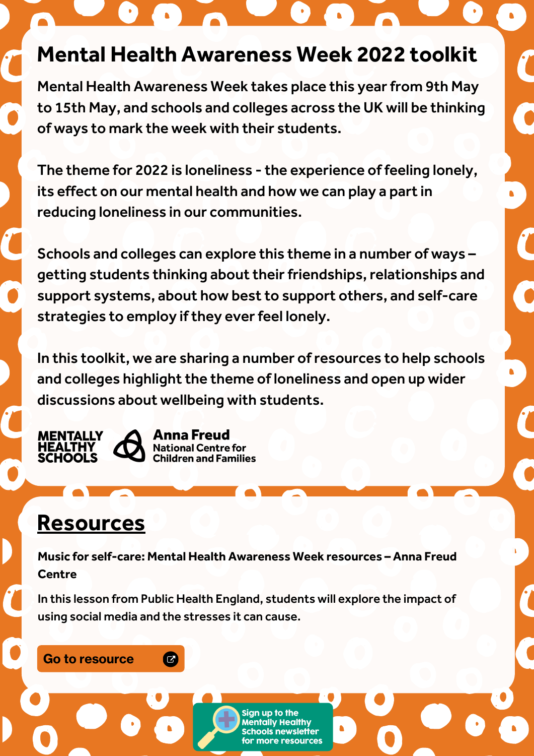# **Mental Health Awareness Week 2022 toolkit**

Mental Health Awareness Week takes place this year from 9th May to 15th May, and schools and colleges across the UK will be thinking of ways to mark the week with their students.

The theme for 2022 is loneliness - the experience of feeling lonely, its effect on our mental health and how we can play a part in reducing loneliness in our communities.

Schools and colleges can explore this theme in a number of ways – getting students thinking about their friendships, relationships and support systems, about how best to support others, and self-care strategies to employ if they ever feel lonely.

In this toolkit, we are sharing a number ofresources to help schools and colleges highlight the theme of loneliness and open up wider discussions about wellbeing with students.

**MENTALLY** 



# **Resources**

**Music for self-care: Mental Health Awareness Week resources – Anna Freud Centre**

In this lesson from Public Health England, students will explore the impact of using social media and the stresses it can cause.

> **Healthy** newsletter

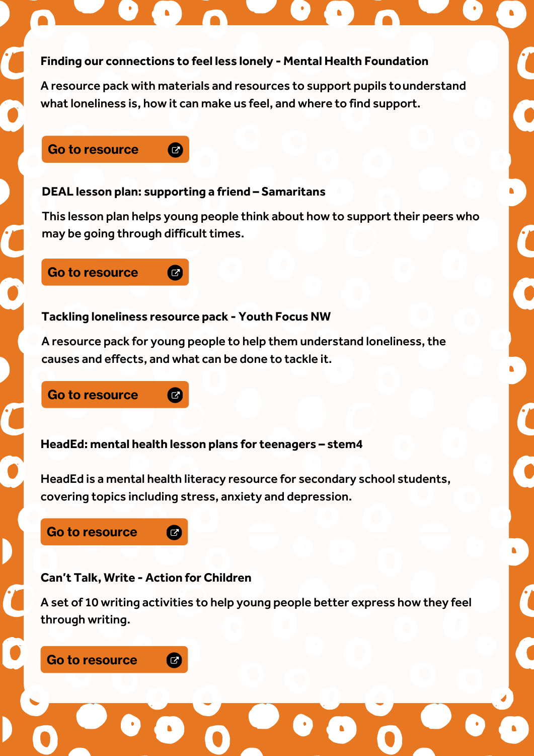#### **Finding our connections to feel less lonely - Mental Health Foundation**

A resource pack with materials and resources to support pupils tounderstand what loneliness is, how it can make us feel, and where to find support.

#### Go to [resource](https://mentallyhealthyschools.org.uk/resources/online-stress-lesson-plan-and-powerpoint/)

#### **DEAL lesson plan: supporting a friend – Samaritans**

 $\boldsymbol{C}$ 

This lesson plan helps young people think about how to support their peers who may be going through difficult times.

#### Go to [resourc](https://mentallyhealthyschools.org.uk/resources/online-sexual-harassment-guidance-for-students/)[e](https://mentallyhealthyschools.org.uk/resources/deal-lesson-plan-supporting-a-friend/)

#### **Tackling loneliness resource pack - Youth Focus NW**

 $\boldsymbol{C}$ 

 $\overline{G}$ 

 $\bullet$ 

A resource pack for young people to help them understand loneliness, the causes and effects, and what can be done to tackle it.

#### Go to [resourc](https://mentallyhealthyschools.org.uk/resources/digital-resilience-lesson-plan/)[e](https://mentallyhealthyschools.org.uk/resources/tackling-loneliness-resource-pack/)

**HeadEd: mental health lesson plans for teenagers – stem4**

HeadEd is a mental health literacy resource for secondary school students, covering topics including stress, anxiety and depression.

### Go to [resourc](https://mentallyhealthyschools.org.uk/resources/trolling-and-cyber-bullying-video/)[e](https://mentallyhealthyschools.org.uk/resources/headed-mental-health-lesson-plans-for-teenagers/)

### **Can't Talk, Write - Action for Children**

A set of 10 writing activities to help young people better express how they feel through writing.

#### Go to [resourc](https://mentallyhealthyschools.org.uk/resources/stop-speak-support-key-stage-3-and-4-school-pack/)[e](https://mentallyhealthyschools.org.uk/resources/cant-talk-write-toolkits/) Ø